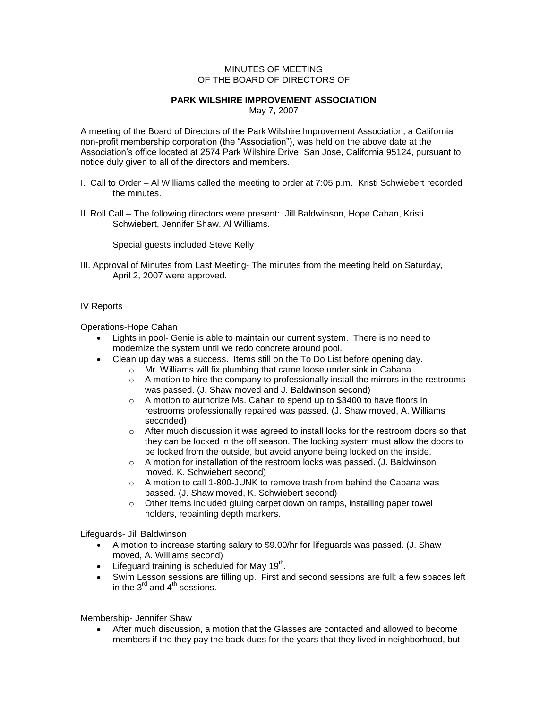## MINUTES OF MEETING OF THE BOARD OF DIRECTORS OF

## **PARK WILSHIRE IMPROVEMENT ASSOCIATION**

May 7, 2007

A meeting of the Board of Directors of the Park Wilshire Improvement Association, a California non-profit membership corporation (the "Association"), was held on the above date at the Association's office located at 2574 Park Wilshire Drive, San Jose, California 95124, pursuant to notice duly given to all of the directors and members.

- I. Call to Order Al Williams called the meeting to order at 7:05 p.m. Kristi Schwiebert recorded the minutes.
- II. Roll Call The following directors were present: Jill Baldwinson, Hope Cahan, Kristi Schwiebert, Jennifer Shaw, Al Williams.

Special guests included Steve Kelly

III. Approval of Minutes from Last Meeting- The minutes from the meeting held on Saturday, April 2, 2007 were approved.

## IV Reports

Operations-Hope Cahan

- Lights in pool- Genie is able to maintain our current system. There is no need to modernize the system until we redo concrete around pool.
- Clean up day was a success. Items still on the To Do List before opening day.
	- o Mr. Williams will fix plumbing that came loose under sink in Cabana.
	- $\circ$  A motion to hire the company to professionally install the mirrors in the restrooms was passed. (J. Shaw moved and J. Baldwinson second)
	- o A motion to authorize Ms. Cahan to spend up to \$3400 to have floors in restrooms professionally repaired was passed. (J. Shaw moved, A. Williams seconded)
	- $\circ$  After much discussion it was agreed to install locks for the restroom doors so that they can be locked in the off season. The locking system must allow the doors to be locked from the outside, but avoid anyone being locked on the inside.
	- o A motion for installation of the restroom locks was passed. (J. Baldwinson moved, K. Schwiebert second)
	- o A motion to call 1-800-JUNK to remove trash from behind the Cabana was passed. (J. Shaw moved, K. Schwiebert second)
	- o Other items included gluing carpet down on ramps, installing paper towel holders, repainting depth markers.

Lifeguards- Jill Baldwinson

- A motion to increase starting salary to \$9.00/hr for lifeguards was passed. (J. Shaw moved, A. Williams second)
- $\bullet$  Lifeguard training is scheduled for May 19<sup>th</sup>.
- Swim Lesson sessions are filling up. First and second sessions are full; a few spaces left in the  $3^{\text{rd}}$  and  $4^{\text{th}}$  sessions.

Membership- Jennifer Shaw

 After much discussion, a motion that the Glasses are contacted and allowed to become members if the they pay the back dues for the years that they lived in neighborhood, but